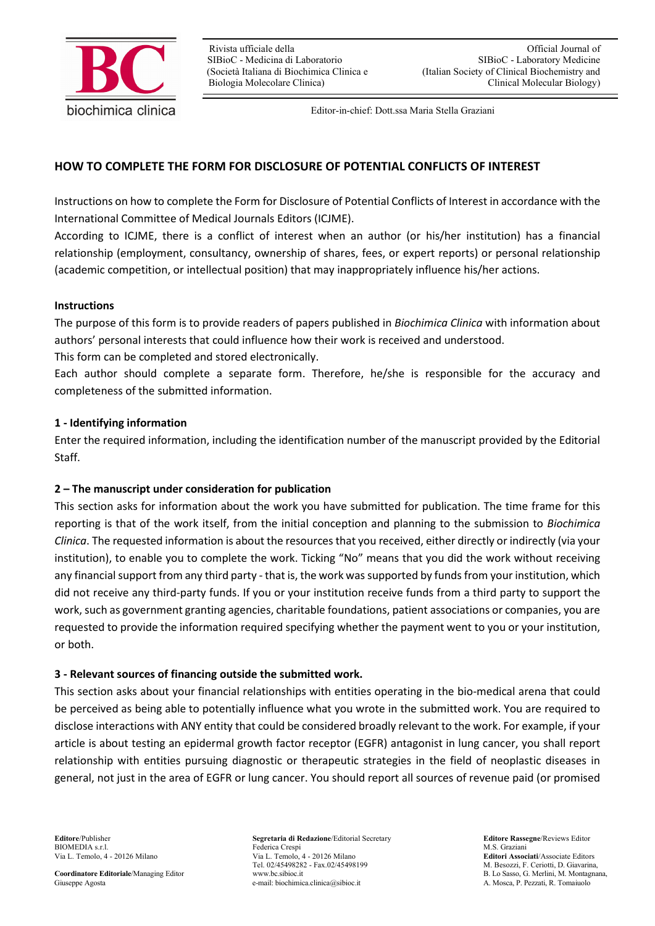

Editor-in-chief: Dott.ssa Maria Stella Graziani

## **HOW TO COMPLETE THE FORM FOR DISCLOSURE OF POTENTIAL CONFLICTS OF INTEREST**

Instructions on how to complete the Form for Disclosure of Potential Conflicts of Interest in accordance with the International Committee of Medical Journals Editors (ICJME).

According to ICJME, there is a conflict of interest when an author (or his/her institution) has a financial relationship (employment, consultancy, ownership of shares, fees, or expert reports) or personal relationship (academic competition, or intellectual position) that may inappropriately influence his/her actions.

#### **Instructions**

The purpose of this form is to provide readers of papers published in *Biochimica Clinica* with information about authors' personal interests that could influence how their work is received and understood.

This form can be completed and stored electronically.

Each author should complete a separate form. Therefore, he/she is responsible for the accuracy and completeness of the submitted information.

#### **1 - Identifying information**

Enter the required information, including the identification number of the manuscript provided by the Editorial Staff.

#### **2 – The manuscript under consideration for publication**

This section asks for information about the work you have submitted for publication. The time frame for this reporting is that of the work itself, from the initial conception and planning to the submission to *Biochimica Clinica*. The requested information is about the resources that you received, either directly or indirectly (via your institution), to enable you to complete the work. Ticking "No" means that you did the work without receiving any financial support from any third party - that is, the work was supported by funds from your institution, which did not receive any third-party funds. If you or your institution receive funds from a third party to support the work, such as government granting agencies, charitable foundations, patient associations or companies, you are requested to provide the information required specifying whether the payment went to you or your institution, or both.

#### **3 - Relevant sources of financing outside the submitted work.**

This section asks about your financial relationships with entities operating in the bio-medical arena that could be perceived as being able to potentially influence what you wrote in the submitted work. You are required to disclose interactions with ANY entity that could be considered broadly relevant to the work. For example, if your article is about testing an epidermal growth factor receptor (EGFR) antagonist in lung cancer, you shall report relationship with entities pursuing diagnostic or therapeutic strategies in the field of neoplastic diseases in general, not just in the area of EGFR or lung cancer. You should report all sources of revenue paid (or promised

**Editore**/Publisher **Segretaria di Redazione**/Editorial Secretary **Editore Rassegne**/Reviews Editor Federica Crespi Via L. Temolo, 4 - 20126 Milano Via L. Temolo, 4 - 20126 Milano **Editori Associati**/Associate Editors Tel. 02/45498282 - Fax.02/45498199 M. Besozzi, F. Ceriotti, D. Giavarina, www.bc.sibioc.it<br>B. Lo Sasso, G. Merlini, M. Montagnana. **Coordinatore Editoriale**/Managing Editor www.bc.sibioc.it B. Lo Sasso, G. Merlini, M. Montagnana, Giuseppe Agosta<br>
Giuseppe Agosta R. Tomaiuolo e-mail: biochimica.clinica@sibioc.it A. Mosca, P. Pezzati, R. Tomaiuolo e-mail: biochimica.clinica@sibioc.it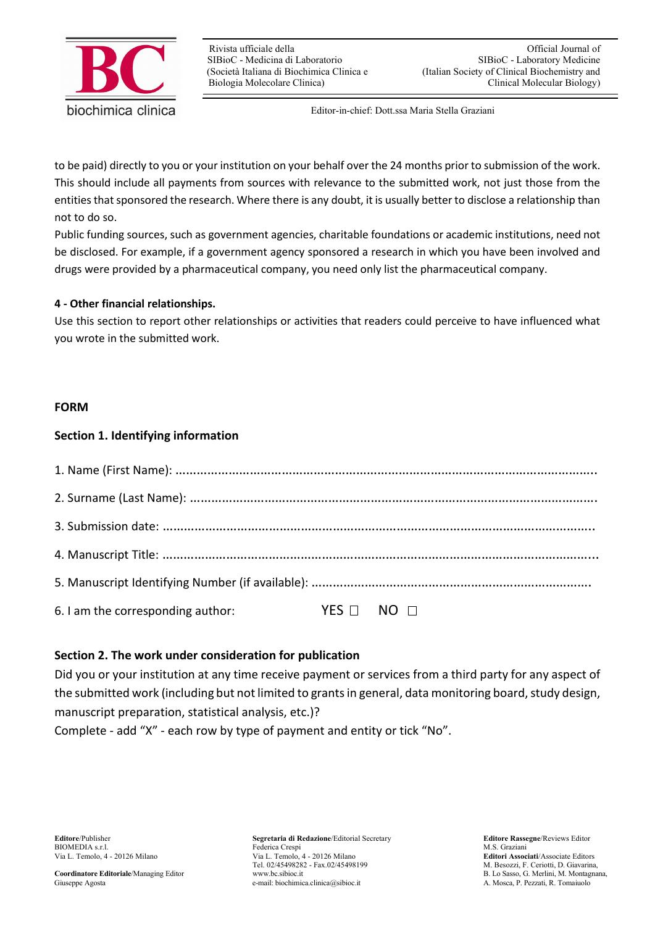

Editor-in-chief: Dott.ssa Maria Stella Graziani

to be paid) directly to you or your institution on your behalf over the 24 months prior to submission of the work. This should include all payments from sources with relevance to the submitted work, not just those from the entities that sponsored the research. Where there is any doubt, it is usually better to disclose a relationship than not to do so.

Public funding sources, such as government agencies, charitable foundations or academic institutions, need not be disclosed. For example, if a government agency sponsored a research in which you have been involved and drugs were provided by a pharmaceutical company, you need only list the pharmaceutical company.

### **4 - Other financial relationships.**

Use this section to report other relationships or activities that readers could perceive to have influenced what you wrote in the submitted work.

### **FORM**

# **Section 1. Identifying information**

| 6. I am the corresponding author: | YES NO NO |  |  |
|-----------------------------------|-----------|--|--|

### **Section 2. The work under consideration for publication**

Did you or your institution at any time receive payment or services from a third party for any aspect of the submitted work (including but not limited to grants in general, data monitoring board, study design, manuscript preparation, statistical analysis, etc.)?

Complete - add "X" - each row by type of payment and entity or tick "No".

**Editore**/Publisher **Segretaria di Redazione**/Editorial Secretary **Editore Rassegne**/Reviews Editor Federica Crespi Via L. Temolo, 4 - 20126 Milano Via L. Temolo, 4 - 20126 Milano **Editori Associati**/Associate Editors Tel. 02/45498282 - Fax.02/45498199 M. Besozzi, F. Ceriotti, D. Giavarina, www.bc.sibioc.it<br>B. Lo Sasso, G. Merlini, M. Montagnana. **Coordinatore Editoriale**/Managing Editor www.bc.sibioc.it B. Lo Sasso, G. Merlini, M. Montagnana, Giuseppe Agosta<br>
Giuseppe Agosta R. Tomaiuolo e-mail: biochimica.clinica@sibioc.it A. Mosca, P. Pezzati, R. Tomaiuolo e-mail: biochimica.clinica@sibioc.it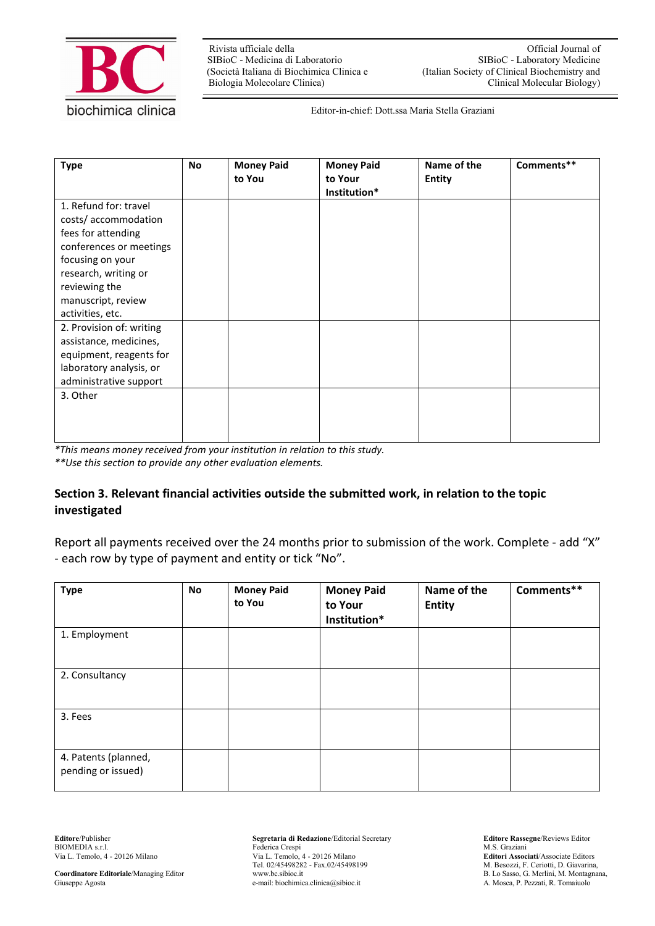

SIBioC - Medicina di Laboratorio<br>(Società Italiana di Biochimica Clinica e

Rivista ufficiale della anno 1992 and 1993. Controlled a Communista ufficial Journal of SIBioC - Laboratory Medicine (Italian Society of Clinical Biochemistry and Biologia Molecolare Clinica) Clinical Molecular Biology)

Editor-in-chief: Dott.ssa Maria Stella Graziani

| <b>Type</b>                                                                                                                                                                                          | <b>No</b> | <b>Money Paid</b><br>to You | <b>Money Paid</b><br>to Your<br>Institution* | Name of the<br><b>Entity</b> | Comments** |
|------------------------------------------------------------------------------------------------------------------------------------------------------------------------------------------------------|-----------|-----------------------------|----------------------------------------------|------------------------------|------------|
| 1. Refund for: travel<br>costs/accommodation<br>fees for attending<br>conferences or meetings<br>focusing on your<br>research, writing or<br>reviewing the<br>manuscript, review<br>activities, etc. |           |                             |                                              |                              |            |
| 2. Provision of: writing<br>assistance, medicines,<br>equipment, reagents for<br>laboratory analysis, or<br>administrative support<br>3. Other                                                       |           |                             |                                              |                              |            |

*\*This means money received from your institution in relation to this study.*

*\*\*Use this section to provide any other evaluation elements.*

# **Section 3. Relevant financial activities outside the submitted work, in relation to the topic investigated**

Report all payments received over the 24 months prior to submission of the work. Complete - add "X" - each row by type of payment and entity or tick "No".

| <b>Type</b>                                | <b>No</b> | <b>Money Paid</b><br>to You | <b>Money Paid</b><br>to Your<br>Institution* | Name of the<br><b>Entity</b> | Comments** |
|--------------------------------------------|-----------|-----------------------------|----------------------------------------------|------------------------------|------------|
| 1. Employment                              |           |                             |                                              |                              |            |
| 2. Consultancy                             |           |                             |                                              |                              |            |
| 3. Fees                                    |           |                             |                                              |                              |            |
| 4. Patents (planned,<br>pending or issued) |           |                             |                                              |                              |            |

BIOMEDIA s.r.l. Federica Crespi Via L. Temolo, 4 - 20126 Milano Via L. Temolo,

**Editore**/Publisher **Segretaria di Redazione**/Editorial Secretary **Editore Rassegne**/Reviews Editor Via L. Temolo, 4 - 20126 Milano Via L. Temolo, 4 - 20126 Milano **Editori Associati**/Associate Editors<br>Tel. 02/45498282 - Fax.02/45498199 M. Besozzi, F. Ceriotti, D. Giavarina, **Coordinatore Editoriale**/Managing Editor www.bc.sibioc.it B. Lo Sasso, G. Merlini, M. Montagnana, Giuseppe Agosta e-mail: biochimica.clinica@sibioc.it B. Lo Sasso, G. Merlini, M. Montagnana, e-mail: biochimica.clinica@sib e-mail: biochimica.clinica@sibioc.it